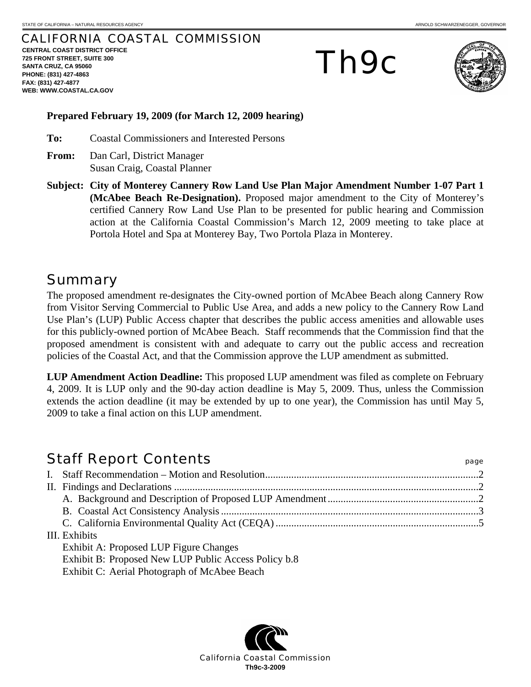## CALIFORNIA COASTAL COMMISSION

**CENTRAL COAST DISTRICT OFFICE 725 FRONT STREET, SUITE 300 SANTA CRUZ, CA 95060 PHONE: (831) 427-4863 FAX: (831) 427-4877 WEB: WWW.COASTAL.CA.GOV**

# Th9c



#### **Prepared February 19, 2009 (for March 12, 2009 hearing)**

**To:** Coastal Commissioners and Interested Persons

- **From:** Dan Carl, District Manager Susan Craig, Coastal Planner
- **Subject: City of Monterey Cannery Row Land Use Plan Major Amendment Number 1-07 Part 1 (McAbee Beach Re-Designation).** Proposed major amendment to the City of Monterey's certified Cannery Row Land Use Plan to be presented for public hearing and Commission action at the California Coastal Commission's March 12, 2009 meeting to take place at Portola Hotel and Spa at Monterey Bay, Two Portola Plaza in Monterey.

## **Summary**

The proposed amendment re-designates the City-owned portion of McAbee Beach along Cannery Row from Visitor Serving Commercial to Public Use Area, and adds a new policy to the Cannery Row Land Use Plan's (LUP) Public Access chapter that describes the public access amenities and allowable uses for this publicly-owned portion of McAbee Beach. Staff recommends that the Commission find that the proposed amendment is consistent with and adequate to carry out the public access and recreation policies of the Coastal Act, and that the Commission approve the LUP amendment as submitted.

**LUP Amendment Action Deadline:** This proposed LUP amendment was filed as complete on February 4, 2009. It is LUP only and the 90-day action deadline is May 5, 2009. Thus, unless the Commission extends the action deadline (it may be extended by up to one year), the Commission has until May 5, 2009 to take a final action on this LUP amendment.

## Staff Report Contents **Staff Report Contents** I. Staff Recommendation – Motion and Resolution..................................................................................2 II. Findings and Declarations .....................................................................................................................2 A. Background and Description of Proposed LUP Amendment..........................................................2 B. Coastal Act Consistency Analysis...................................................................................................3 C. California Environmental Quality Act (CEQA)..............................................................................5 III. Exhibits Exhibit A: Proposed LUP Figure Changes Exhibit B: Proposed New LUP Public Access Policy b.8 Exhibit C: Aerial Photograph of McAbee Beach

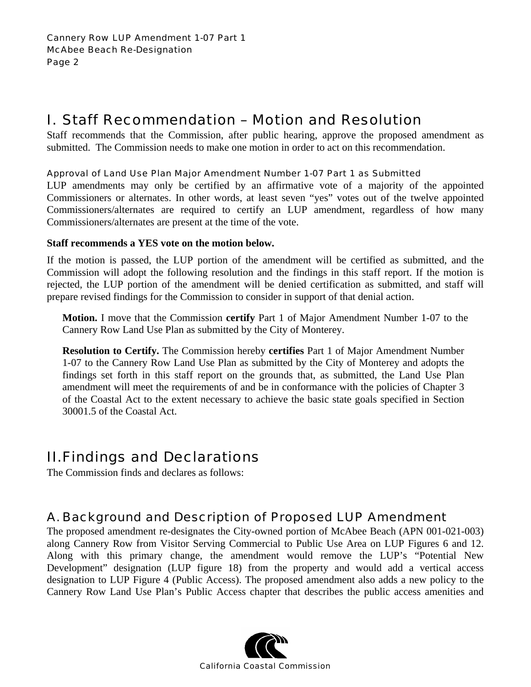# I. Staff Recommendation – Motion and Resolution

Staff recommends that the Commission, after public hearing, approve the proposed amendment as submitted. The Commission needs to make one motion in order to act on this recommendation.

## Approval of Land Use Plan Major Amendment Number 1-07 Part 1 as Submitted

LUP amendments may only be certified by an affirmative vote of a majority of the appointed Commissioners or alternates. In other words, at least seven "yes" votes out of the twelve appointed Commissioners/alternates are required to certify an LUP amendment, regardless of how many Commissioners/alternates are present at the time of the vote.

## **Staff recommends a YES vote on the motion below.**

If the motion is passed, the LUP portion of the amendment will be certified as submitted, and the Commission will adopt the following resolution and the findings in this staff report. If the motion is rejected, the LUP portion of the amendment will be denied certification as submitted, and staff will prepare revised findings for the Commission to consider in support of that denial action.

**Motion.** I move that the Commission **certify** Part 1 of Major Amendment Number 1-07 to the Cannery Row Land Use Plan as submitted by the City of Monterey.

**Resolution to Certify.** The Commission hereby **certifies** Part 1 of Major Amendment Number 1-07 to the Cannery Row Land Use Plan as submitted by the City of Monterey and adopts the findings set forth in this staff report on the grounds that, as submitted, the Land Use Plan amendment will meet the requirements of and be in conformance with the policies of Chapter 3 of the Coastal Act to the extent necessary to achieve the basic state goals specified in Section 30001.5 of the Coastal Act.

## II. Findings and Declarations

The Commission finds and declares as follows:

## A. Background and Description of Proposed LUP Amendment

The proposed amendment re-designates the City-owned portion of McAbee Beach (APN 001-021-003) along Cannery Row from Visitor Serving Commercial to Public Use Area on LUP Figures 6 and 12. Along with this primary change, the amendment would remove the LUP's "Potential New Development" designation (LUP figure 18) from the property and would add a vertical access designation to LUP Figure 4 (Public Access). The proposed amendment also adds a new policy to the Cannery Row Land Use Plan's Public Access chapter that describes the public access amenities and

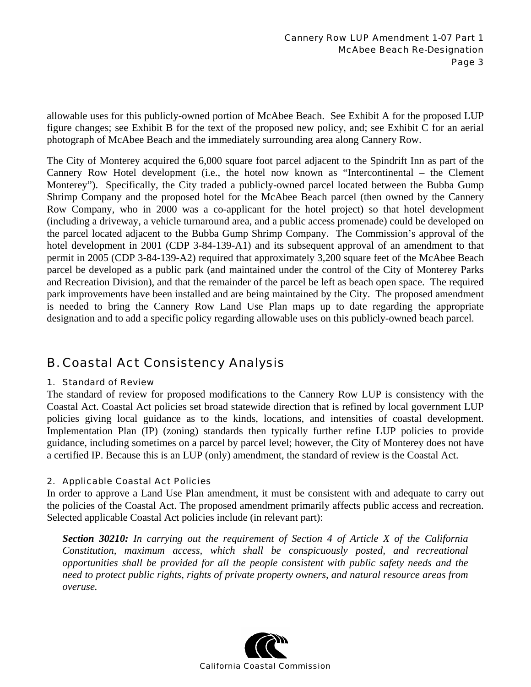allowable uses for this publicly-owned portion of McAbee Beach. See Exhibit A for the proposed LUP figure changes; see Exhibit B for the text of the proposed new policy, and; see Exhibit C for an aerial photograph of McAbee Beach and the immediately surrounding area along Cannery Row.

The City of Monterey acquired the 6,000 square foot parcel adjacent to the Spindrift Inn as part of the Cannery Row Hotel development (i.e., the hotel now known as "Intercontinental – the Clement Monterey"). Specifically, the City traded a publicly-owned parcel located between the Bubba Gump Shrimp Company and the proposed hotel for the McAbee Beach parcel (then owned by the Cannery Row Company, who in 2000 was a co-applicant for the hotel project) so that hotel development (including a driveway, a vehicle turnaround area, and a public access promenade) could be developed on the parcel located adjacent to the Bubba Gump Shrimp Company. The Commission's approval of the hotel development in 2001 (CDP 3-84-139-A1) and its subsequent approval of an amendment to that permit in 2005 (CDP 3-84-139-A2) required that approximately 3,200 square feet of the McAbee Beach parcel be developed as a public park (and maintained under the control of the City of Monterey Parks and Recreation Division), and that the remainder of the parcel be left as beach open space. The required park improvements have been installed and are being maintained by the City. The proposed amendment is needed to bring the Cannery Row Land Use Plan maps up to date regarding the appropriate designation and to add a specific policy regarding allowable uses on this publicly-owned beach parcel.

## B. Coastal Act Consistency Analysis

#### 1. Standard of Review

The standard of review for proposed modifications to the Cannery Row LUP is consistency with the Coastal Act. Coastal Act policies set broad statewide direction that is refined by local government LUP policies giving local guidance as to the kinds, locations, and intensities of coastal development. Implementation Plan (IP) (zoning) standards then typically further refine LUP policies to provide guidance, including sometimes on a parcel by parcel level; however, the City of Monterey does not have a certified IP. Because this is an LUP (only) amendment, the standard of review is the Coastal Act.

## 2. Applicable Coastal Act Policies

In order to approve a Land Use Plan amendment, it must be consistent with and adequate to carry out the policies of the Coastal Act. The proposed amendment primarily affects public access and recreation. Selected applicable Coastal Act policies include (in relevant part):

*Section 30210: In carrying out the requirement of Section 4 of Article X of the California Constitution, maximum access, which shall be conspicuously posted, and recreational opportunities shall be provided for all the people consistent with public safety needs and the need to protect public rights, rights of private property owners, and natural resource areas from overuse.*

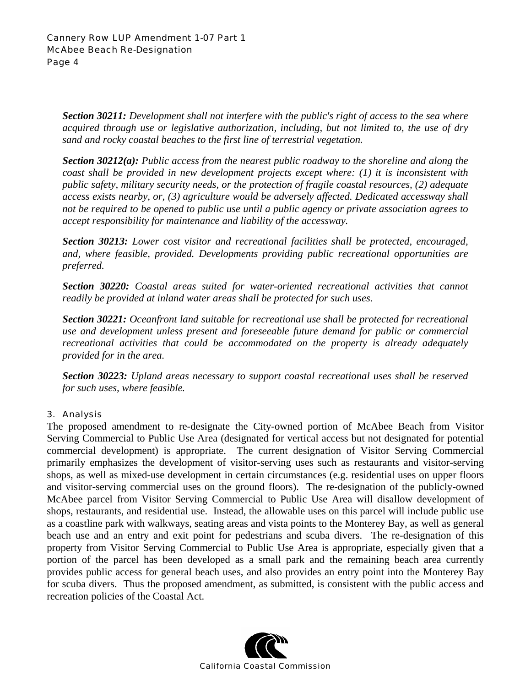*Section 30211: Development shall not interfere with the public's right of access to the sea where acquired through use or legislative authorization, including, but not limited to, the use of dry sand and rocky coastal beaches to the first line of terrestrial vegetation.* 

*Section 30212(a): Public access from the nearest public roadway to the shoreline and along the coast shall be provided in new development projects except where: (1) it is inconsistent with public safety, military security needs, or the protection of fragile coastal resources, (2) adequate access exists nearby, or, (3) agriculture would be adversely affected. Dedicated accessway shall not be required to be opened to public use until a public agency or private association agrees to accept responsibility for maintenance and liability of the accessway.* 

*Section 30213: Lower cost visitor and recreational facilities shall be protected, encouraged, and, where feasible, provided. Developments providing public recreational opportunities are preferred.* 

*Section 30220: Coastal areas suited for water-oriented recreational activities that cannot readily be provided at inland water areas shall be protected for such uses.* 

*Section 30221: Oceanfront land suitable for recreational use shall be protected for recreational use and development unless present and foreseeable future demand for public or commercial recreational activities that could be accommodated on the property is already adequately provided for in the area.* 

*Section 30223: Upland areas necessary to support coastal recreational uses shall be reserved for such uses, where feasible.* 

## 3. Analysis

The proposed amendment to re-designate the City-owned portion of McAbee Beach from Visitor Serving Commercial to Public Use Area (designated for vertical access but not designated for potential commercial development) is appropriate. The current designation of Visitor Serving Commercial primarily emphasizes the development of visitor-serving uses such as restaurants and visitor-serving shops, as well as mixed-use development in certain circumstances (e.g. residential uses on upper floors and visitor-serving commercial uses on the ground floors). The re-designation of the publicly-owned McAbee parcel from Visitor Serving Commercial to Public Use Area will disallow development of shops, restaurants, and residential use. Instead, the allowable uses on this parcel will include public use as a coastline park with walkways, seating areas and vista points to the Monterey Bay, as well as general beach use and an entry and exit point for pedestrians and scuba divers. The re-designation of this property from Visitor Serving Commercial to Public Use Area is appropriate, especially given that a portion of the parcel has been developed as a small park and the remaining beach area currently provides public access for general beach uses, and also provides an entry point into the Monterey Bay for scuba divers. Thus the proposed amendment, as submitted, is consistent with the public access and recreation policies of the Coastal Act.

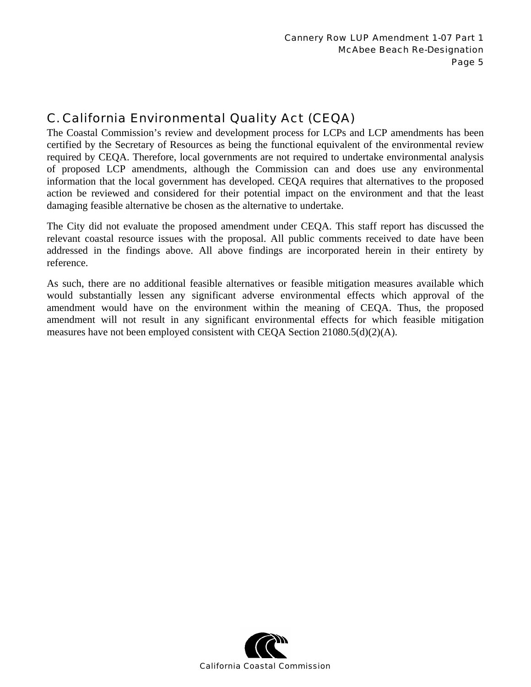# C. California Environmental Quality Act (CEQA)

The Coastal Commission's review and development process for LCPs and LCP amendments has been certified by the Secretary of Resources as being the functional equivalent of the environmental review required by CEQA. Therefore, local governments are not required to undertake environmental analysis of proposed LCP amendments, although the Commission can and does use any environmental information that the local government has developed. CEQA requires that alternatives to the proposed action be reviewed and considered for their potential impact on the environment and that the least damaging feasible alternative be chosen as the alternative to undertake.

The City did not evaluate the proposed amendment under CEQA. This staff report has discussed the relevant coastal resource issues with the proposal. All public comments received to date have been addressed in the findings above. All above findings are incorporated herein in their entirety by reference.

As such, there are no additional feasible alternatives or feasible mitigation measures available which would substantially lessen any significant adverse environmental effects which approval of the amendment would have on the environment within the meaning of CEQA. Thus, the proposed amendment will not result in any significant environmental effects for which feasible mitigation measures have not been employed consistent with CEQA Section  $21080.5(d)(2)(A)$ .

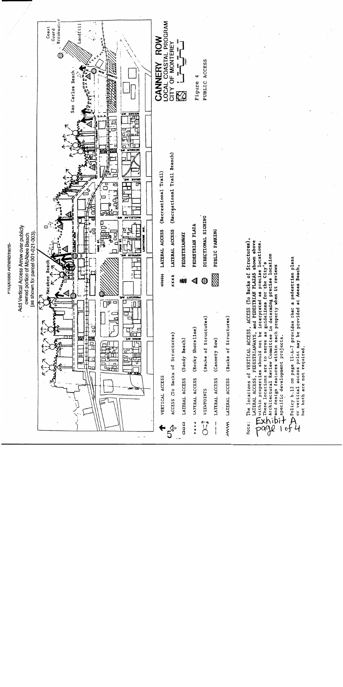

The locations of VERTICAL ACCESS, ACCESS (To Backs of Structures), LATERAL ACCESS, PEDESTRIANWAYS, and PEDESTRIAN PLAZAS shown above Muithin properties should not be interpreted as precise locations. Architectural Review Committee in determing precise location These locations are to serve as guidelines for the City's  $\bigcup_{i=1}^{n} \bigcup_{i=1}^{n} \bigcup_{i=1}^{n} \bigcup_{i=1}^{n} \bigcup_{i=1}^{n} \bigcup_{i=1}^{n} \bigcup_{i=1}^{n} \bigcup_{i=1}^{n} \bigcup_{i=1}^{n} \bigcup_{i=1}^{n} \bigcup_{i=1}^{n} \bigcup_{i=1}^{n} \bigcup_{i=1}^{n} \bigcup_{i=1}^{n} \bigcup_{i=1}^{n} \bigcup_{i=1}^{n} \bigcup_{i=1}^{n} \bigcup_{i=1}^{n} \bigcup_{i=1}^{n} \bigcap_{i=1}^{n}$ 

o<br>
Trolicy b.12 on page II-A-7 provides that a pedestrian plaza<br>
T or vertical access point may be provided at Aneas Beach, or vertical access point may be provided at Aneas Beach, but both are not required.

Fruposea Amendment-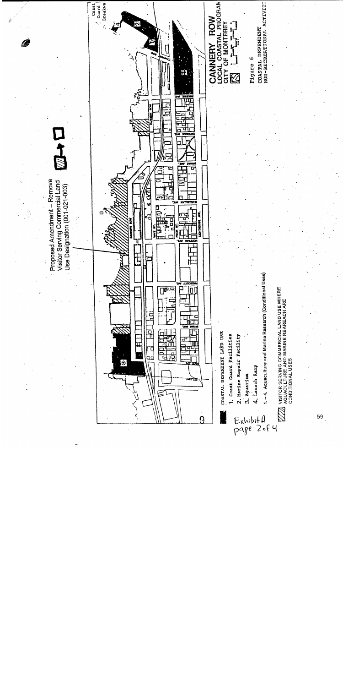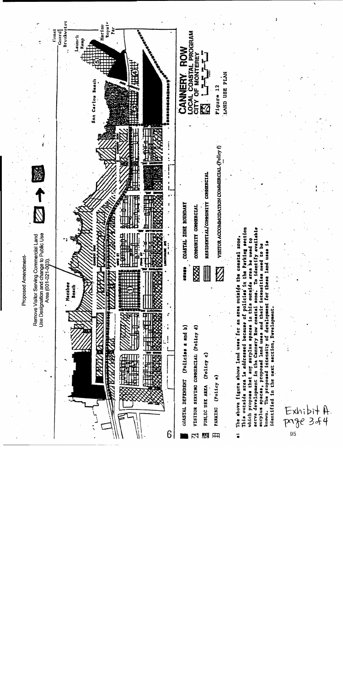

serve development in the Cannery Row coastal zone. To identify available which proposa that any surplus spaces in this outside area he used to The proposed intensity of development for these land uses is surplus spaces, proposed land uses and their intensities need to be identified in the next section, Development. Exhibit A.<br>Page 3.64 known.

95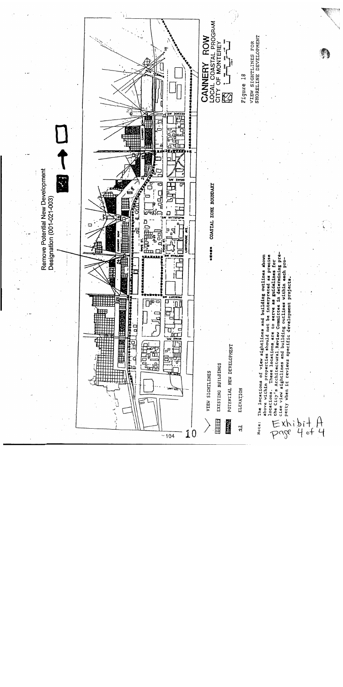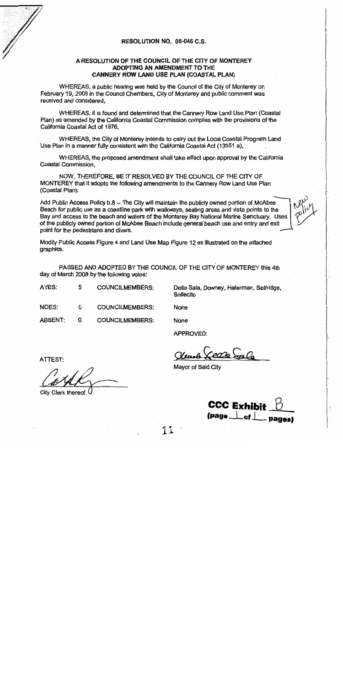

#### RESOLUTION NO. 08-046 C.S.

#### A RESOLUTION OF THE COUNCIL OF THE CITY OF MONTEREY ADOPTING AN AMENDMENT TO THE CANNERY ROW LAND USE PLAN (COASTAL PLAN)

WHEREAS, a public hearing was held by the Council of the City of Monterey on February 19, 2008 in the Council Chambers, City of Monterey and public comment was received and considered.

WHEREAS, it is found and determined that the Cannery Row Land Use Plan (Coastal Plan) as amended by the California Coastal Commission complies with the provisions of the California Coastal Act of 1976,

WHEREAS, the City of Monterey intends to carry out the Local Coastal Program Land Use Plan in a manner fully consistent with the California Coastal Act (13551 a),

WHEREAS, the proposed amendment shall take effect upon approval by the California Coastal Commission,

NOW, THEREFORE, BE IT RESOLVED BY THE COUNCIL OF THE CITY OF MONTEREY that it adopts the following amendments to the Cannery Row Land Use Plan (Coastal Plan):

Add Public Access Policy b.8 - The City will maintain the publicly owned portion of McAbee Beach for public use as a coastline park with walkways, seating areas and vista points to the Bay and access to the beach and waters of the Monterey Bay National Marine Sanctuary. Uses of the publicly owned portion of McAbee Beach include general beach use and entry and exit point for the pedestrians and divers.

Modify Public Access Figure 4 and Land Use Map Figure 12 as illustrated on the attached graphics.

PASSED AND ADOPTED BY THE COUNCIL OF THE CITY OF MONTEREY this 4th day of March 2008 by the following votes:

AYES: 5 **COUNCILMEMBERS:** 

 $\mathbf{O}$ 

Della Sala, Downey, Haferman, Selfridge, Sollecito

NOES: 0 **COUNCILMEMBERS:** 

**COUNCILMEMBERS:** 

None

None

**APPROVED:** 

ATTEST:

**ABSENT:** 

City Clerk thereof

Mayor of Said City

**CCC Exhibit**  $(page \_\ of \$ 

11